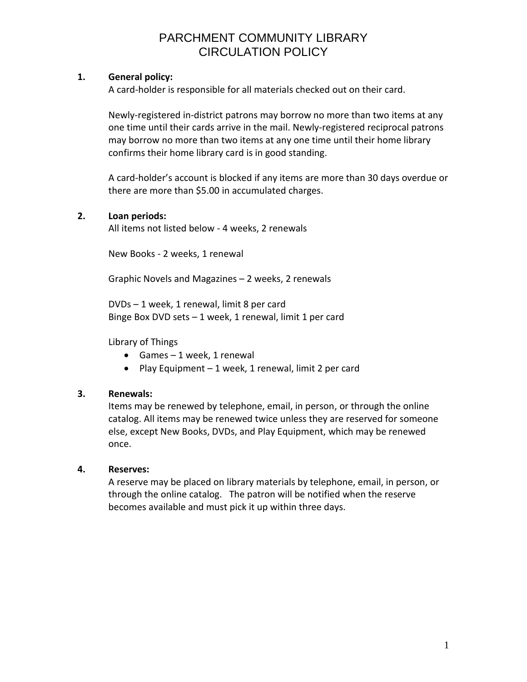### **1. General policy:**

A card-holder is responsible for all materials checked out on their card.

Newly-registered in-district patrons may borrow no more than two items at any one time until their cards arrive in the mail. Newly-registered reciprocal patrons may borrow no more than two items at any one time until their home library confirms their home library card is in good standing.

A card-holder's account is blocked if any items are more than 30 days overdue or there are more than \$5.00 in accumulated charges.

#### **2. Loan periods:**

All items not listed below - 4 weeks, 2 renewals

New Books - 2 weeks, 1 renewal

Graphic Novels and Magazines – 2 weeks, 2 renewals

DVDs – 1 week, 1 renewal, limit 8 per card Binge Box DVD sets – 1 week, 1 renewal, limit 1 per card

Library of Things

- Games  $-1$  week, 1 renewal
- Play Equipment  $-1$  week, 1 renewal, limit 2 per card

### **3. Renewals:**

Items may be renewed by telephone, email, in person, or through the online catalog. All items may be renewed twice unless they are reserved for someone else, except New Books, DVDs, and Play Equipment, which may be renewed once.

#### **4. Reserves:**

A reserve may be placed on library materials by telephone, email, in person, or through the online catalog. The patron will be notified when the reserve becomes available and must pick it up within three days.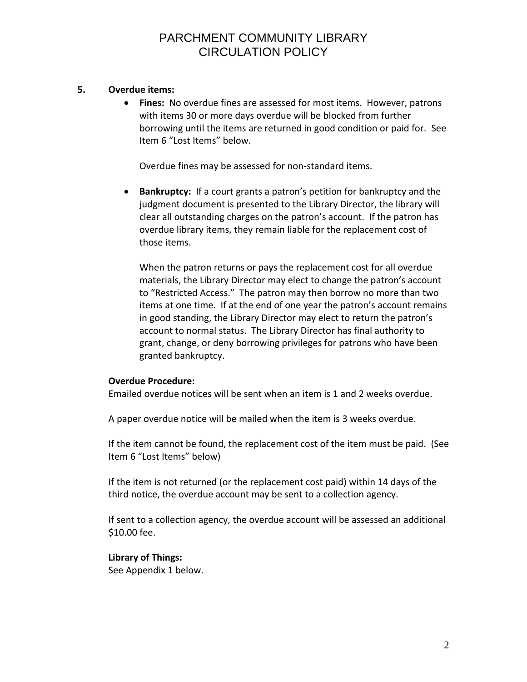#### **5. Overdue items:**

 **Fines:** No overdue fines are assessed for most items. However, patrons with items 30 or more days overdue will be blocked from further borrowing until the items are returned in good condition or paid for. See Item 6 "Lost Items" below.

Overdue fines may be assessed for non-standard items.

 **Bankruptcy:** If a court grants a patron's petition for bankruptcy and the judgment document is presented to the Library Director, the library will clear all outstanding charges on the patron's account. If the patron has overdue library items, they remain liable for the replacement cost of those items.

When the patron returns or pays the replacement cost for all overdue materials, the Library Director may elect to change the patron's account to "Restricted Access." The patron may then borrow no more than two items at one time. If at the end of one year the patron's account remains in good standing, the Library Director may elect to return the patron's account to normal status. The Library Director has final authority to grant, change, or deny borrowing privileges for patrons who have been granted bankruptcy.

#### **Overdue Procedure:**

Emailed overdue notices will be sent when an item is 1 and 2 weeks overdue.

A paper overdue notice will be mailed when the item is 3 weeks overdue.

If the item cannot be found, the replacement cost of the item must be paid. (See Item 6 "Lost Items" below)

If the item is not returned (or the replacement cost paid) within 14 days of the third notice, the overdue account may be sent to a collection agency.

If sent to a collection agency, the overdue account will be assessed an additional \$10.00 fee.

#### **Library of Things:**

See Appendix 1 below.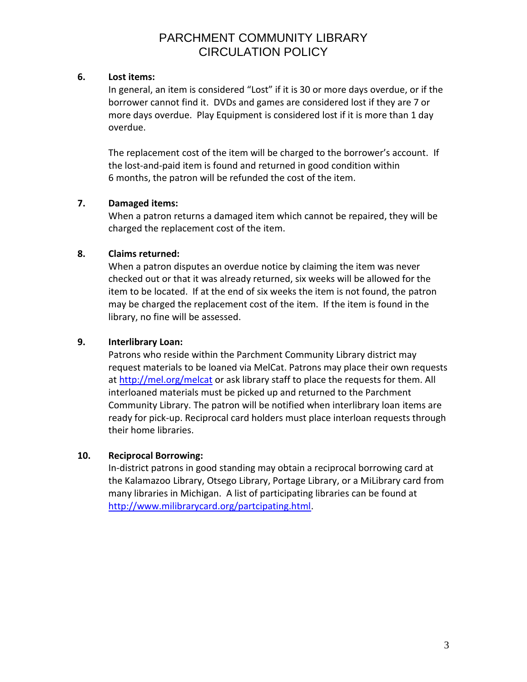#### **6. Lost items:**

In general, an item is considered "Lost" if it is 30 or more days overdue, or if the borrower cannot find it. DVDs and games are considered lost if they are 7 or more days overdue. Play Equipment is considered lost if it is more than 1 day overdue.

The replacement cost of the item will be charged to the borrower's account. If the lost-and-paid item is found and returned in good condition within 6 months, the patron will be refunded the cost of the item.

### **7. Damaged items:**

When a patron returns a damaged item which cannot be repaired, they will be charged the replacement cost of the item.

### **8. Claims returned:**

When a patron disputes an overdue notice by claiming the item was never checked out or that it was already returned, six weeks will be allowed for the item to be located. If at the end of six weeks the item is not found, the patron may be charged the replacement cost of the item. If the item is found in the library, no fine will be assessed.

### **9. Interlibrary Loan:**

Patrons who reside within the Parchment Community Library district may request materials to be loaned via MelCat. Patrons may place their own requests at <http://mel.org/melcat> or ask library staff to place the requests for them. All interloaned materials must be picked up and returned to the Parchment Community Library. The patron will be notified when interlibrary loan items are ready for pick-up. Reciprocal card holders must place interloan requests through their home libraries.

### **10. Reciprocal Borrowing:**

In-district patrons in good standing may obtain a reciprocal borrowing card at the Kalamazoo Library, Otsego Library, Portage Library, or a MiLibrary card from many libraries in Michigan. A list of participating libraries can be found at [http://www.milibrarycard.org/partcipating.html.](http://www.milibrarycard.org/partcipating.html)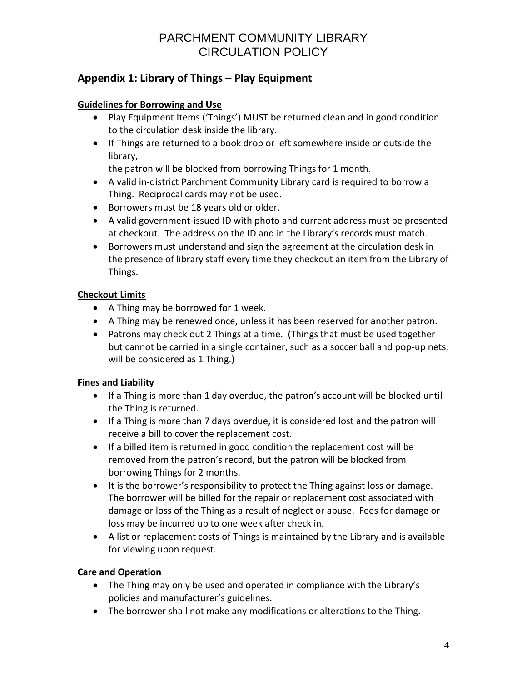## **Appendix 1: Library of Things – Play Equipment**

### **Guidelines for Borrowing and Use**

- Play Equipment Items ('Things') MUST be returned clean and in good condition to the circulation desk inside the library.
- If Things are returned to a book drop or left somewhere inside or outside the library,

the patron will be blocked from borrowing Things for 1 month.

- A valid in-district Parchment Community Library card is required to borrow a Thing. Reciprocal cards may not be used.
- Borrowers must be 18 years old or older.
- A valid government-issued ID with photo and current address must be presented at checkout. The address on the ID and in the Library's records must match.
- Borrowers must understand and sign the agreement at the circulation desk in the presence of library staff every time they checkout an item from the Library of Things.

## **Checkout Limits**

- A Thing may be borrowed for 1 week.
- A Thing may be renewed once, unless it has been reserved for another patron.
- Patrons may check out 2 Things at a time. (Things that must be used together but cannot be carried in a single container, such as a soccer ball and pop-up nets, will be considered as 1 Thing.)

### **Fines and Liability**

- If a Thing is more than 1 day overdue, the patron's account will be blocked until the Thing is returned.
- If a Thing is more than 7 days overdue, it is considered lost and the patron will receive a bill to cover the replacement cost.
- If a billed item is returned in good condition the replacement cost will be removed from the patron's record, but the patron will be blocked from borrowing Things for 2 months.
- It is the borrower's responsibility to protect the Thing against loss or damage. The borrower will be billed for the repair or replacement cost associated with damage or loss of the Thing as a result of neglect or abuse. Fees for damage or loss may be incurred up to one week after check in.
- A list or replacement costs of Things is maintained by the Library and is available for viewing upon request.

### **Care and Operation**

- The Thing may only be used and operated in compliance with the Library's policies and manufacturer's guidelines.
- The borrower shall not make any modifications or alterations to the Thing.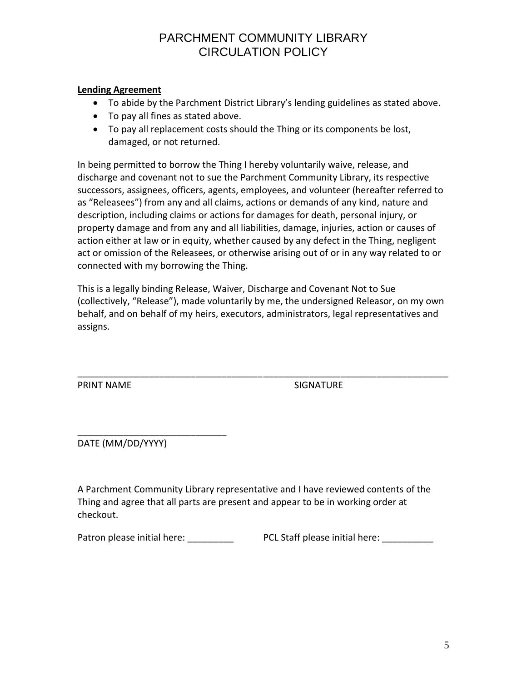### **Lending Agreement**

- To abide by the Parchment District Library's lending guidelines as stated above.
- To pay all fines as stated above.
- To pay all replacement costs should the Thing or its components be lost, damaged, or not returned.

In being permitted to borrow the Thing I hereby voluntarily waive, release, and discharge and covenant not to sue the Parchment Community Library, its respective successors, assignees, officers, agents, employees, and volunteer (hereafter referred to as "Releasees") from any and all claims, actions or demands of any kind, nature and description, including claims or actions for damages for death, personal injury, or property damage and from any and all liabilities, damage, injuries, action or causes of action either at law or in equity, whether caused by any defect in the Thing, negligent act or omission of the Releasees, or otherwise arising out of or in any way related to or connected with my borrowing the Thing.

This is a legally binding Release, Waiver, Discharge and Covenant Not to Sue (collectively, "Release"), made voluntarily by me, the undersigned Releasor, on my own behalf, and on behalf of my heirs, executors, administrators, legal representatives and assigns.

\_\_\_\_\_\_\_\_\_\_\_\_\_\_\_\_\_\_\_\_\_\_\_\_\_\_\_\_\_\_\_\_\_\_\_\_\_\_\_\_\_\_\_\_\_\_\_\_\_\_\_\_\_\_\_\_\_\_\_\_\_\_\_\_\_\_\_\_\_\_\_\_ PRINT NAME SIGNATURE

\_\_\_\_\_\_\_\_\_\_\_\_\_\_\_\_\_\_\_\_\_\_\_\_\_\_\_\_\_ DATE (MM/DD/YYYY)

A Parchment Community Library representative and I have reviewed contents of the Thing and agree that all parts are present and appear to be in working order at checkout.

Patron please initial here: \_\_\_\_\_\_\_\_\_\_\_ PCL Staff please initial here: \_\_\_\_\_\_\_\_\_